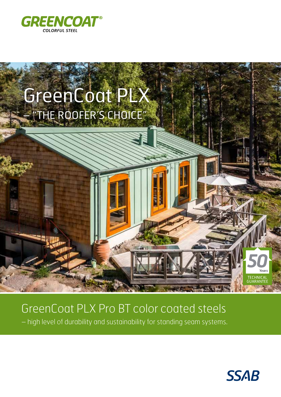



## GreenCoat PLX Pro BT color coated steels

– high level of durability and sustainability for standing seam systems.

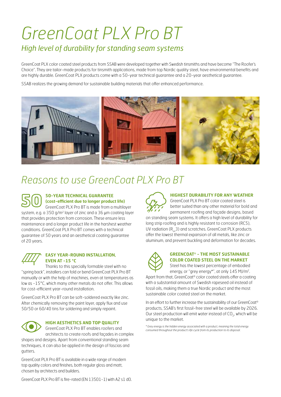# *GreenCoat PLX Pro BT High level of durability for standing seam systems*

GreenCoat PLX color coated steel products from SSAB were developed together with Swedish tinsmiths and have become "The Roofer's Choice". They are tailor-made products for tinsmith applications, made from top Nordic quality steel, have environmental benefits and are highly durable. GreenCoat PLX products come with a 50-year technical guarantee and a 20-year aesthetical guarantee.

SSAB realizes the growing demand for sustainable building materials that offer enhanced performance.



### *Reasons to use GreenCoat PLX Pro BT*

#### **50-YEAR TECHNICAL GUARANTEE (cost-efficient due to longer product life)** GreenCoat PLX Pro BT is made from a multilayer

system, e.g.  $a$  350 g/m<sup>2</sup> layer of zinc and  $a$  36  $\mu$ m coating layer that provides protection from corrosion. These ensure less maintenance and a longer product life in the harshest weather conditions. GreenCoat PLX Pro BT comes with a technical guarantee of 50 years and an aesthetical coating guarantee of 20 years.

#### **EASY YEAR-ROUND INSTALLATION, EVEN AT -15 °C**

Thanks to this specially formable steel with no "spring back", installers can fold or bend GreenCoat PLX Pro BT manually or with the help of machines, even at temperatures as low as -15°C, which many other metals do not offer. This allows for cost-efficient year-round installation.

GreenCoat PLX Pro BT can be soft-soldered exactly like zinc. After chemically removing the paint layer, apply flux and use 50/50 or 60/40 tins for soldering and simply repaint.



#### **HIGH AESTHETICS AND TOP QUALITY**

GreenCoat PLX Pro BT enables roofers and architects to create roofs and façades in complex

shapes and designs. Apart from conventional standing seam techniques, it can also be applied in the design of fascias and gutters.

GreenCoat PLX Pro BT is available in a wide range of modern top quality colors and finishes, both regular gloss and matt, chosen by architects and builders.

#### **HIGHEST DURABILITY FOR ANY WEATHER**

GreenCoat PLX Pro BT color coated steel is better suited than any other material for bold and permanent roofing and façade designs, based

on standing seam systems. It offers a high level of durability for long strip roofing and is highly resistant to corrosion (RC5), UV radiation (R<sub>uv</sub>3) and scratches. GreenCoat PLX products offer the lowest thermal expansion of all metals, like zinc or aluminum, and prevent buckling and deformation for decades.



#### **GREENCOAT® - THE MOST SUSTAINABLE COLOR COATED STEEL ON THE MARKET**

Steel has the lowest percentage of embodied energy, or "grey energy\*", at only 145 MJ/m2.

Apart from that, GreenCoat® color coated steels offer a coating with a substantial amount of Swedish rapeseed oil instead of fossil oils, making them a true Nordic product and the most sustainable color coated steel on the market.

In an effort to further increase the sustainability of our GreenCoat® products, SSAB's first fossil-free steel will be available by 2026. Our steel production will emit water instead of CO<sub>2</sub>, which will be unique to the market.

*\* Grey energy is the hidden energy associated with a product, meaning the total energy consumed throughout the product's life cycle from its production to its disposal.*

GreenCoat PLX Pro BT is fire-rated (EN 13501-1) with A2 s1 d0.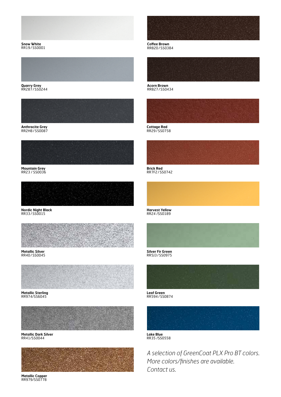

**Snow White** RR19/SS0001



**Quarry Grey** RR287/SS0244



**Anthracite Grey** RR2H8/SS0087



**Mountain Grey** RR23 / SS0036



**Nordic Night Black** RR33/SS0015



**Metallic Silver** RR40/SS0045



**Metallic Sterling** RR974/SS6045



**Metallic Dark Silver** RR41/SS0044



**Metallic Copper** RR979/SS0778



**Coffee Brown** RR820/SS0384



**Acorn Brown** RR827/SS0434



**Cottage Red** RR29/SS0758



**Brick Red** RR7F2/SS0742

**Harvest Yellow** RR24 /SS0189



**Silver Fir Green** RR5J3/SS0975



**Leaf Green** RR594/SS0874



**Lake Blue** RR35 /SS0558

*A selection of GreenCoat PLX Pro BT colors. More colors/finishes are available. Contact us.*